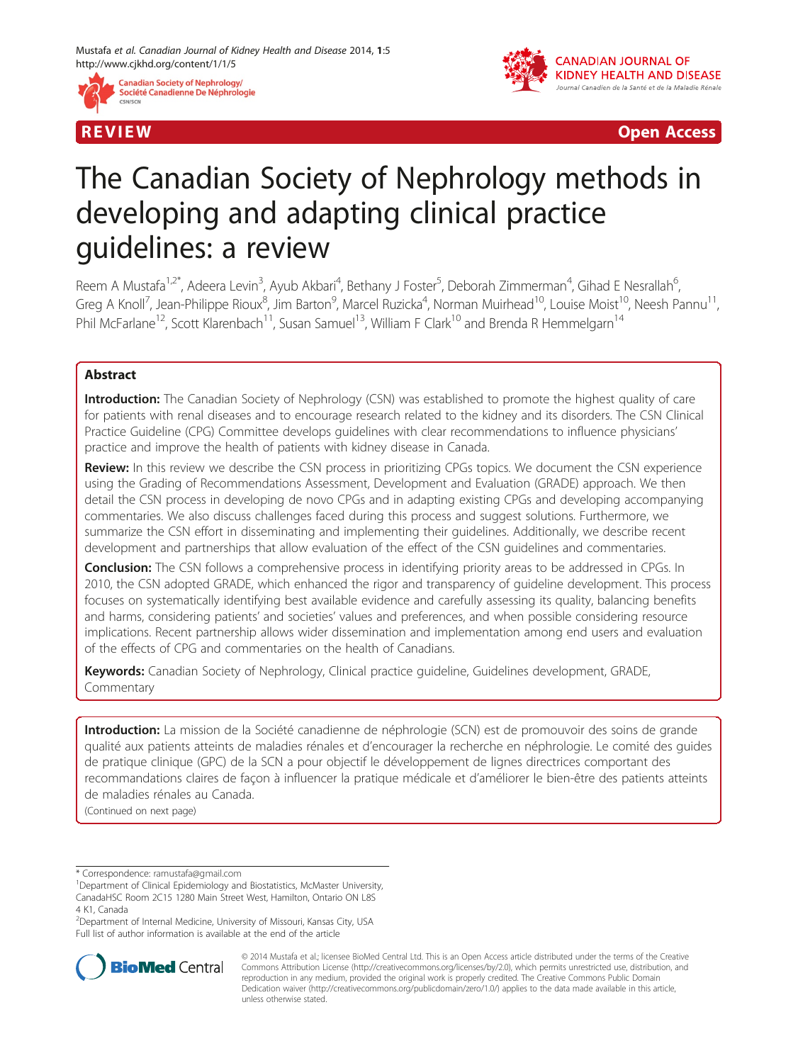



R EVI EW Open Access

# The Canadian Society of Nephrology methods in developing and adapting clinical practice guidelines: a review

Reem A Mustafa<sup>1,2\*</sup>, Adeera Levin<sup>3</sup>, Ayub Akbari<sup>4</sup>, Bethany J Foster<sup>5</sup>, Deborah Zimmerman<sup>4</sup>, Gihad E Nesrallah<sup>6</sup> , Greg A Knoll<sup>7</sup>, Jean-Philippe Rioux<sup>8</sup>, Jim Barton<sup>9</sup>, Marcel Ruzicka<sup>4</sup>, Norman Muirhead<sup>10</sup>, Louise Moist<sup>10</sup>, Neesh Pannu<sup>11</sup>, Phil McFarlane<sup>12</sup>, Scott Klarenbach<sup>11</sup>, Susan Samuel<sup>13</sup>, William F Clark<sup>10</sup> and Brenda R Hemmelgarn<sup>14</sup>

## Abstract

Introduction: The Canadian Society of Nephrology (CSN) was established to promote the highest quality of care for patients with renal diseases and to encourage research related to the kidney and its disorders. The CSN Clinical Practice Guideline (CPG) Committee develops guidelines with clear recommendations to influence physicians' practice and improve the health of patients with kidney disease in Canada.

Review: In this review we describe the CSN process in prioritizing CPGs topics. We document the CSN experience using the Grading of Recommendations Assessment, Development and Evaluation (GRADE) approach. We then detail the CSN process in developing de novo CPGs and in adapting existing CPGs and developing accompanying commentaries. We also discuss challenges faced during this process and suggest solutions. Furthermore, we summarize the CSN effort in disseminating and implementing their guidelines. Additionally, we describe recent development and partnerships that allow evaluation of the effect of the CSN guidelines and commentaries.

Conclusion: The CSN follows a comprehensive process in identifying priority areas to be addressed in CPGs. In 2010, the CSN adopted GRADE, which enhanced the rigor and transparency of guideline development. This process focuses on systematically identifying best available evidence and carefully assessing its quality, balancing benefits and harms, considering patients' and societies' values and preferences, and when possible considering resource implications. Recent partnership allows wider dissemination and implementation among end users and evaluation of the effects of CPG and commentaries on the health of Canadians.

Keywords: Canadian Society of Nephrology, Clinical practice guideline, Guidelines development, GRADE, **Commentary** 

Introduction: La mission de la Société canadienne de néphrologie (SCN) est de promouvoir des soins de grande qualité aux patients atteints de maladies rénales et d'encourager la recherche en néphrologie. Le comité des guides de pratique clinique (GPC) de la SCN a pour objectif le développement de lignes directrices comportant des recommandations claires de façon à influencer la pratique médicale et d'améliorer le bien-être des patients atteints de maladies rénales au Canada.

(Continued on next page)

\* Correspondence: [ramustafa@gmail.com](mailto:ramustafa@gmail.com) <sup>1</sup>

2 Department of Internal Medicine, University of Missouri, Kansas City, USA Full list of author information is available at the end of the article



© 2014 Mustafa et al.; licensee BioMed Central Ltd. This is an Open Access article distributed under the terms of the Creative Commons Attribution License [\(http://creativecommons.org/licenses/by/2.0\)](http://creativecommons.org/licenses/by/2.0), which permits unrestricted use, distribution, and reproduction in any medium, provided the original work is properly credited. The Creative Commons Public Domain Dedication waiver [\(http://creativecommons.org/publicdomain/zero/1.0/](http://creativecommons.org/publicdomain/zero/1.0/)) applies to the data made available in this article, unless otherwise stated.

<sup>&</sup>lt;sup>1</sup>Department of Clinical Epidemiology and Biostatistics, McMaster University, CanadaHSC Room 2C15 1280 Main Street West, Hamilton, Ontario ON L8S 4 K1, Canada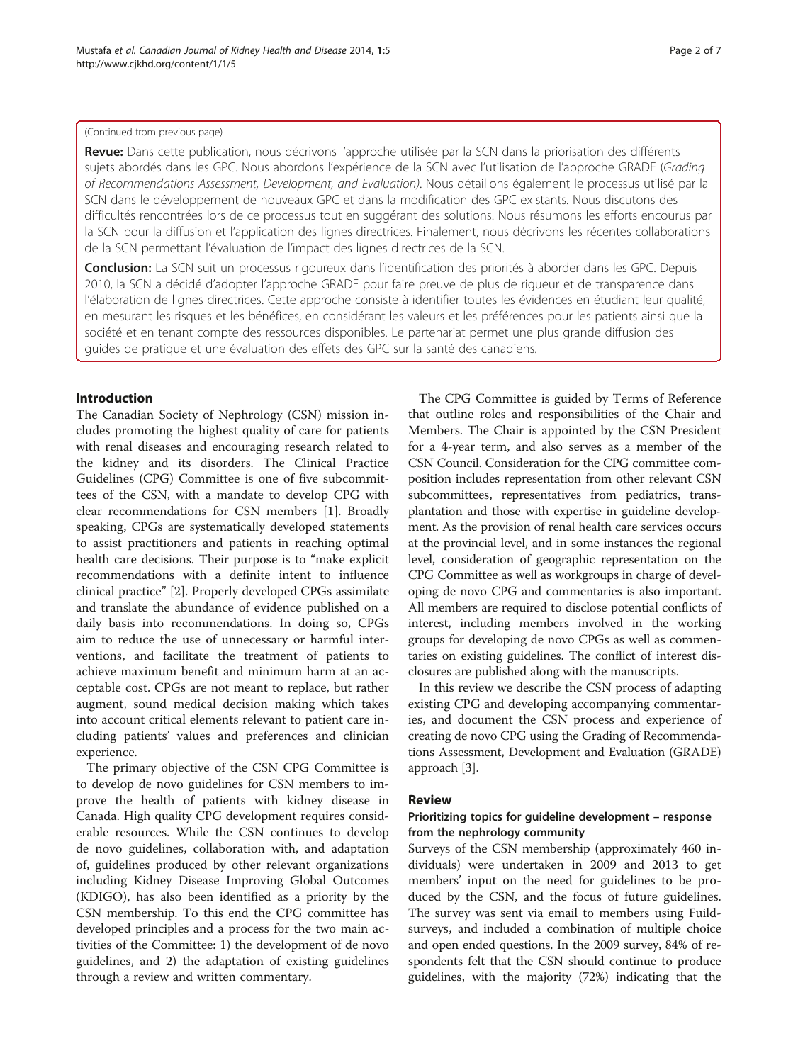#### (Continued from previous page)

Revue: Dans cette publication, nous décrivons l'approche utilisée par la SCN dans la priorisation des différents sujets abordés dans les GPC. Nous abordons l'expérience de la SCN avec l'utilisation de l'approche GRADE (Grading of Recommendations Assessment, Development, and Evaluation). Nous détaillons également le processus utilisé par la SCN dans le développement de nouveaux GPC et dans la modification des GPC existants. Nous discutons des difficultés rencontrées lors de ce processus tout en suggérant des solutions. Nous résumons les efforts encourus par la SCN pour la diffusion et l'application des lignes directrices. Finalement, nous décrivons les récentes collaborations de la SCN permettant l'évaluation de l'impact des lignes directrices de la SCN.

Conclusion: La SCN suit un processus rigoureux dans l'identification des priorités à aborder dans les GPC. Depuis 2010, la SCN a décidé d'adopter l'approche GRADE pour faire preuve de plus de rigueur et de transparence dans l'élaboration de lignes directrices. Cette approche consiste à identifier toutes les évidences en étudiant leur qualité, en mesurant les risques et les bénéfices, en considérant les valeurs et les préférences pour les patients ainsi que la société et en tenant compte des ressources disponibles. Le partenariat permet une plus grande diffusion des guides de pratique et une évaluation des effets des GPC sur la santé des canadiens.

## Introduction

The Canadian Society of Nephrology (CSN) mission includes promoting the highest quality of care for patients with renal diseases and encouraging research related to the kidney and its disorders. The Clinical Practice Guidelines (CPG) Committee is one of five subcommittees of the CSN, with a mandate to develop CPG with clear recommendations for CSN members [[1](#page-6-0)]. Broadly speaking, CPGs are systematically developed statements to assist practitioners and patients in reaching optimal health care decisions. Their purpose is to "make explicit recommendations with a definite intent to influence clinical practice" [\[2](#page-6-0)]. Properly developed CPGs assimilate and translate the abundance of evidence published on a daily basis into recommendations. In doing so, CPGs aim to reduce the use of unnecessary or harmful interventions, and facilitate the treatment of patients to achieve maximum benefit and minimum harm at an acceptable cost. CPGs are not meant to replace, but rather augment, sound medical decision making which takes into account critical elements relevant to patient care including patients' values and preferences and clinician experience.

The primary objective of the CSN CPG Committee is to develop de novo guidelines for CSN members to improve the health of patients with kidney disease in Canada. High quality CPG development requires considerable resources. While the CSN continues to develop de novo guidelines, collaboration with, and adaptation of, guidelines produced by other relevant organizations including Kidney Disease Improving Global Outcomes (KDIGO), has also been identified as a priority by the CSN membership. To this end the CPG committee has developed principles and a process for the two main activities of the Committee: 1) the development of de novo guidelines, and 2) the adaptation of existing guidelines through a review and written commentary.

The CPG Committee is guided by Terms of Reference that outline roles and responsibilities of the Chair and Members. The Chair is appointed by the CSN President for a 4-year term, and also serves as a member of the CSN Council. Consideration for the CPG committee composition includes representation from other relevant CSN subcommittees, representatives from pediatrics, transplantation and those with expertise in guideline development. As the provision of renal health care services occurs at the provincial level, and in some instances the regional level, consideration of geographic representation on the CPG Committee as well as workgroups in charge of developing de novo CPG and commentaries is also important. All members are required to disclose potential conflicts of interest, including members involved in the working groups for developing de novo CPGs as well as commentaries on existing guidelines. The conflict of interest disclosures are published along with the manuscripts.

In this review we describe the CSN process of adapting existing CPG and developing accompanying commentaries, and document the CSN process and experience of creating de novo CPG using the Grading of Recommendations Assessment, Development and Evaluation (GRADE) approach [\[3](#page-6-0)].

#### Review

#### Prioritizing topics for guideline development – response from the nephrology community

Surveys of the CSN membership (approximately 460 individuals) were undertaken in 2009 and 2013 to get members' input on the need for guidelines to be produced by the CSN, and the focus of future guidelines. The survey was sent via email to members using Fuildsurveys, and included a combination of multiple choice and open ended questions. In the 2009 survey, 84% of respondents felt that the CSN should continue to produce guidelines, with the majority (72%) indicating that the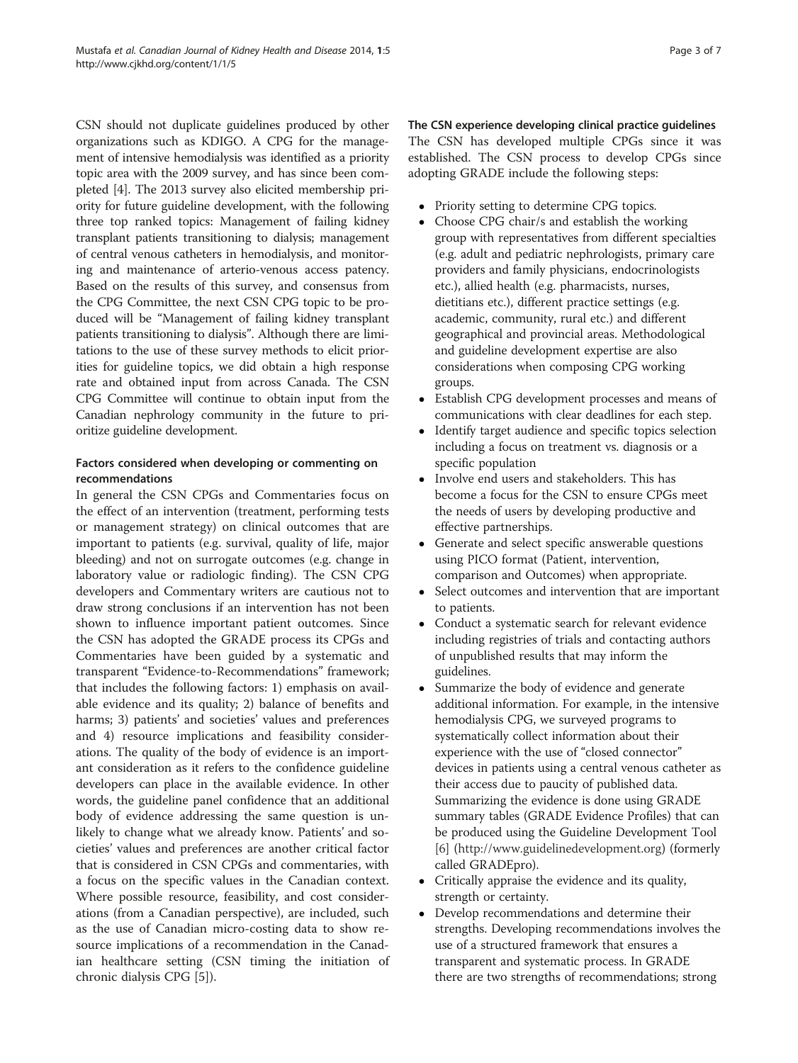CSN should not duplicate guidelines produced by other organizations such as KDIGO. A CPG for the management of intensive hemodialysis was identified as a priority topic area with the 2009 survey, and has since been completed [[4](#page-6-0)]. The 2013 survey also elicited membership priority for future guideline development, with the following three top ranked topics: Management of failing kidney transplant patients transitioning to dialysis; management of central venous catheters in hemodialysis, and monitoring and maintenance of arterio-venous access patency. Based on the results of this survey, and consensus from the CPG Committee, the next CSN CPG topic to be produced will be "Management of failing kidney transplant patients transitioning to dialysis". Although there are limitations to the use of these survey methods to elicit priorities for guideline topics, we did obtain a high response rate and obtained input from across Canada. The CSN CPG Committee will continue to obtain input from the Canadian nephrology community in the future to prioritize guideline development.

## Factors considered when developing or commenting on recommendations

In general the CSN CPGs and Commentaries focus on the effect of an intervention (treatment, performing tests or management strategy) on clinical outcomes that are important to patients (e.g. survival, quality of life, major bleeding) and not on surrogate outcomes (e.g. change in laboratory value or radiologic finding). The CSN CPG developers and Commentary writers are cautious not to draw strong conclusions if an intervention has not been shown to influence important patient outcomes. Since the CSN has adopted the GRADE process its CPGs and Commentaries have been guided by a systematic and transparent "Evidence-to-Recommendations" framework; that includes the following factors: 1) emphasis on available evidence and its quality; 2) balance of benefits and harms; 3) patients' and societies' values and preferences and 4) resource implications and feasibility considerations. The quality of the body of evidence is an important consideration as it refers to the confidence guideline developers can place in the available evidence. In other words, the guideline panel confidence that an additional body of evidence addressing the same question is unlikely to change what we already know. Patients' and societies' values and preferences are another critical factor that is considered in CSN CPGs and commentaries, with a focus on the specific values in the Canadian context. Where possible resource, feasibility, and cost considerations (from a Canadian perspective), are included, such as the use of Canadian micro-costing data to show resource implications of a recommendation in the Canadian healthcare setting (CSN timing the initiation of chronic dialysis CPG [\[5](#page-6-0)]).

## The CSN experience developing clinical practice guidelines

The CSN has developed multiple CPGs since it was established. The CSN process to develop CPGs since adopting GRADE include the following steps:

- Priority setting to determine CPG topics.<br>• Choose CPG chair/s and establish the wo
- Choose CPG chair/s and establish the working group with representatives from different specialties (e.g. adult and pediatric nephrologists, primary care providers and family physicians, endocrinologists etc.), allied health (e.g. pharmacists, nurses, dietitians etc.), different practice settings (e.g. academic, community, rural etc.) and different geographical and provincial areas. Methodological and guideline development expertise are also considerations when composing CPG working groups.
- Establish CPG development processes and means of communications with clear deadlines for each step.
- Identify target audience and specific topics selection including a focus on treatment vs. diagnosis or a specific population
- Involve end users and stakeholders. This has become a focus for the CSN to ensure CPGs meet the needs of users by developing productive and effective partnerships.
- Generate and select specific answerable questions using PICO format (Patient, intervention, comparison and Outcomes) when appropriate.
- Select outcomes and intervention that are important to patients.
- Conduct a systematic search for relevant evidence including registries of trials and contacting authors of unpublished results that may inform the guidelines.
- Summarize the body of evidence and generate additional information. For example, in the intensive hemodialysis CPG, we surveyed programs to systematically collect information about their experience with the use of "closed connector" devices in patients using a central venous catheter as their access due to paucity of published data. Summarizing the evidence is done using GRADE summary tables (GRADE Evidence Profiles) that can be produced using the Guideline Development Tool [[6\]](#page-6-0) ([http://www.guidelinedevelopment.org\)](http://www.guidelinedevelopment.org/) (formerly called GRADEpro).
- Critically appraise the evidence and its quality, strength or certainty.
- Develop recommendations and determine their strengths. Developing recommendations involves the use of a structured framework that ensures a transparent and systematic process. In GRADE there are two strengths of recommendations; strong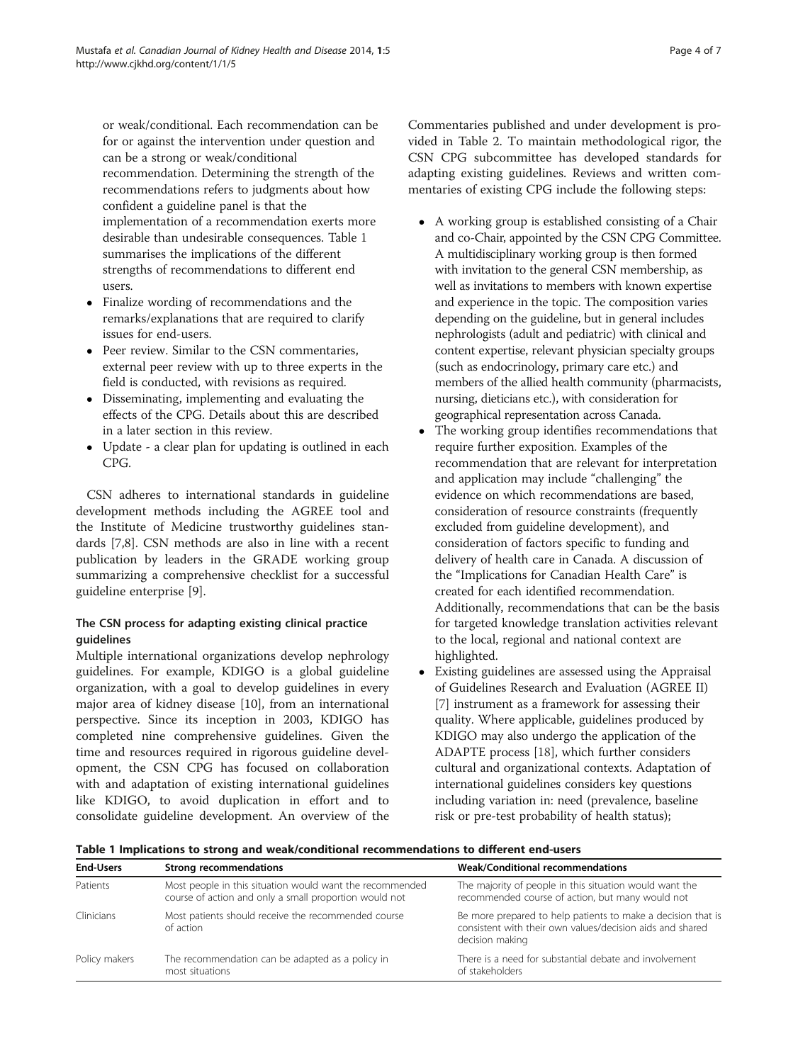or weak/conditional. Each recommendation can be for or against the intervention under question and can be a strong or weak/conditional recommendation. Determining the strength of the recommendations refers to judgments about how confident a guideline panel is that the implementation of a recommendation exerts more desirable than undesirable consequences. Table 1 summarises the implications of the different strengths of recommendations to different end users.

- Finalize wording of recommendations and the remarks/explanations that are required to clarify issues for end-users.
- Peer review. Similar to the CSN commentaries, external peer review with up to three experts in the field is conducted, with revisions as required.
- Disseminating, implementing and evaluating the effects of the CPG. Details about this are described in a later section in this review.
- Update a clear plan for updating is outlined in each CPG.

CSN adheres to international standards in guideline development methods including the AGREE tool and the Institute of Medicine trustworthy guidelines standards [[7,8\]](#page-6-0). CSN methods are also in line with a recent publication by leaders in the GRADE working group summarizing a comprehensive checklist for a successful guideline enterprise [[9](#page-6-0)].

## The CSN process for adapting existing clinical practice guidelines

Multiple international organizations develop nephrology guidelines. For example, KDIGO is a global guideline organization, with a goal to develop guidelines in every major area of kidney disease [\[10](#page-6-0)], from an international perspective. Since its inception in 2003, KDIGO has completed nine comprehensive guidelines. Given the time and resources required in rigorous guideline development, the CSN CPG has focused on collaboration with and adaptation of existing international guidelines like KDIGO, to avoid duplication in effort and to consolidate guideline development. An overview of the

Commentaries published and under development is provided in Table [2.](#page-4-0) To maintain methodological rigor, the CSN CPG subcommittee has developed standards for adapting existing guidelines. Reviews and written commentaries of existing CPG include the following steps:

- A working group is established consisting of a Chair and co-Chair, appointed by the CSN CPG Committee. A multidisciplinary working group is then formed with invitation to the general CSN membership, as well as invitations to members with known expertise and experience in the topic. The composition varies depending on the guideline, but in general includes nephrologists (adult and pediatric) with clinical and content expertise, relevant physician specialty groups (such as endocrinology, primary care etc.) and members of the allied health community (pharmacists, nursing, dieticians etc.), with consideration for geographical representation across Canada.
- The working group identifies recommendations that require further exposition. Examples of the recommendation that are relevant for interpretation and application may include "challenging" the evidence on which recommendations are based, consideration of resource constraints (frequently excluded from guideline development), and consideration of factors specific to funding and delivery of health care in Canada. A discussion of the "Implications for Canadian Health Care" is created for each identified recommendation. Additionally, recommendations that can be the basis for targeted knowledge translation activities relevant to the local, regional and national context are highlighted.
- Existing guidelines are assessed using the Appraisal of Guidelines Research and Evaluation (AGREE II) [[7\]](#page-6-0) instrument as a framework for assessing their quality. Where applicable, guidelines produced by KDIGO may also undergo the application of the ADAPTE process [[18](#page-6-0)], which further considers cultural and organizational contexts. Adaptation of international guidelines considers key questions including variation in: need (prevalence, baseline risk or pre-test probability of health status);

| Table 1 Implications to strong and weak/conditional recommendations to different end-users |  |
|--------------------------------------------------------------------------------------------|--|
|--------------------------------------------------------------------------------------------|--|

| <b>End-Users</b> | <b>Strong recommendations</b>                                                                                      | <b>Weak/Conditional recommendations</b>                                                                                                      |  |
|------------------|--------------------------------------------------------------------------------------------------------------------|----------------------------------------------------------------------------------------------------------------------------------------------|--|
| Patients         | Most people in this situation would want the recommended<br>course of action and only a small proportion would not | The majority of people in this situation would want the<br>recommended course of action, but many would not                                  |  |
| Clinicians       | Most patients should receive the recommended course<br>of action                                                   | Be more prepared to help patients to make a decision that is<br>consistent with their own values/decision aids and shared<br>decision making |  |
| Policy makers    | The recommendation can be adapted as a policy in<br>most situations                                                | There is a need for substantial debate and involvement<br>of stakeholders                                                                    |  |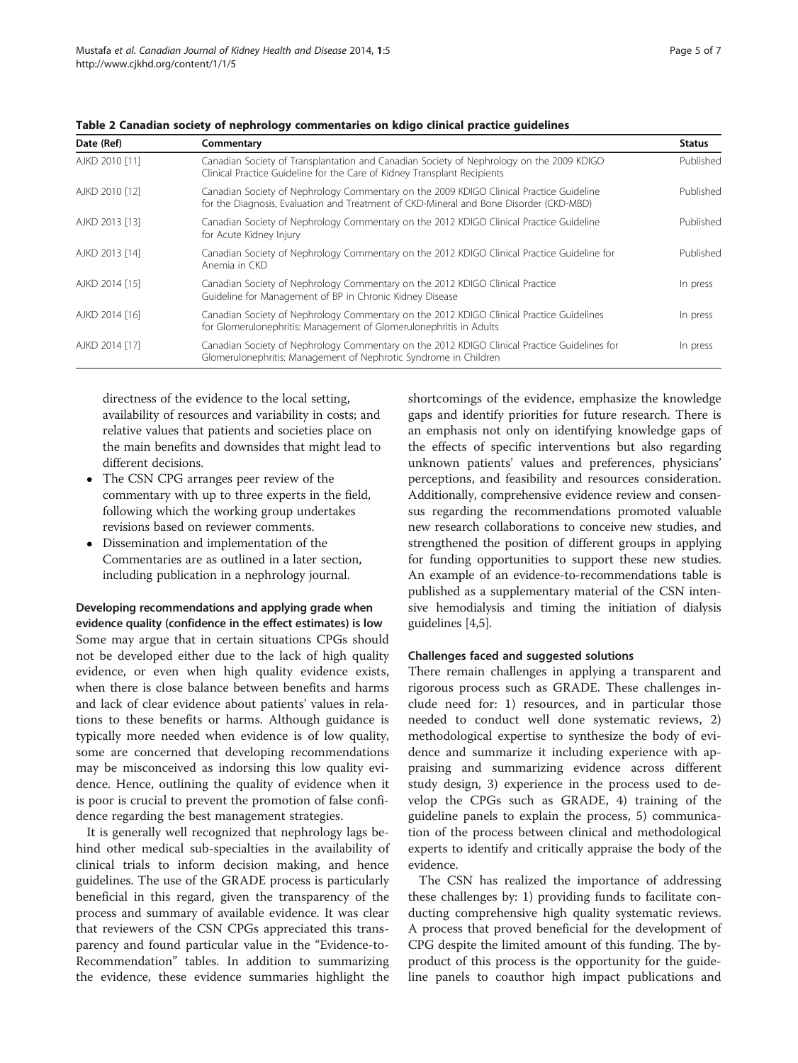| Date (Ref)     | Commentary                                                                                                                                                                        | <b>Status</b> |
|----------------|-----------------------------------------------------------------------------------------------------------------------------------------------------------------------------------|---------------|
| AJKD 2010 [11] | Canadian Society of Transplantation and Canadian Society of Nephrology on the 2009 KDIGO<br>Clinical Practice Guideline for the Care of Kidney Transplant Recipients              | Published     |
| AJKD 2010 [12] | Canadian Society of Nephrology Commentary on the 2009 KDIGO Clinical Practice Guideline<br>for the Diagnosis, Evaluation and Treatment of CKD-Mineral and Bone Disorder (CKD-MBD) | Published     |
| AJKD 2013 [13] | Canadian Society of Nephrology Commentary on the 2012 KDIGO Clinical Practice Guideline<br>for Acute Kidney Injury                                                                | Published     |
| AJKD 2013 [14] | Canadian Society of Nephrology Commentary on the 2012 KDIGO Clinical Practice Guideline for<br>Anemia in CKD                                                                      | Published     |
| AJKD 2014 [15] | Canadian Society of Nephrology Commentary on the 2012 KDIGO Clinical Practice<br>Guideline for Management of BP in Chronic Kidney Disease                                         | In press      |
| AJKD 2014 [16] | Canadian Society of Nephrology Commentary on the 2012 KDIGO Clinical Practice Guidelines<br>for Glomerulonephritis: Management of Glomerulonephritis in Adults                    | In press      |
| AJKD 2014 [17] | Canadian Society of Nephrology Commentary on the 2012 KDIGO Clinical Practice Guidelines for<br>Glomerulonephritis: Management of Nephrotic Syndrome in Children                  | In press      |

<span id="page-4-0"></span>Table 2 Canadian society of nephrology commentaries on kdigo clinical practice guidelines

directness of the evidence to the local setting, availability of resources and variability in costs; and relative values that patients and societies place on the main benefits and downsides that might lead to different decisions.

- The CSN CPG arranges peer review of the commentary with up to three experts in the field, following which the working group undertakes revisions based on reviewer comments.
- Dissemination and implementation of the Commentaries are as outlined in a later section, including publication in a nephrology journal.

Developing recommendations and applying grade when evidence quality (confidence in the effect estimates) is low Some may argue that in certain situations CPGs should not be developed either due to the lack of high quality evidence, or even when high quality evidence exists, when there is close balance between benefits and harms and lack of clear evidence about patients' values in relations to these benefits or harms. Although guidance is typically more needed when evidence is of low quality, some are concerned that developing recommendations may be misconceived as indorsing this low quality evidence. Hence, outlining the quality of evidence when it is poor is crucial to prevent the promotion of false confidence regarding the best management strategies.

It is generally well recognized that nephrology lags behind other medical sub-specialties in the availability of clinical trials to inform decision making, and hence guidelines. The use of the GRADE process is particularly beneficial in this regard, given the transparency of the process and summary of available evidence. It was clear that reviewers of the CSN CPGs appreciated this transparency and found particular value in the "Evidence-to-Recommendation" tables. In addition to summarizing the evidence, these evidence summaries highlight the shortcomings of the evidence, emphasize the knowledge gaps and identify priorities for future research. There is an emphasis not only on identifying knowledge gaps of the effects of specific interventions but also regarding unknown patients' values and preferences, physicians' perceptions, and feasibility and resources consideration. Additionally, comprehensive evidence review and consensus regarding the recommendations promoted valuable new research collaborations to conceive new studies, and strengthened the position of different groups in applying for funding opportunities to support these new studies. An example of an evidence-to-recommendations table is published as a supplementary material of the CSN intensive hemodialysis and timing the initiation of dialysis guidelines [\[4,5](#page-6-0)].

#### Challenges faced and suggested solutions

There remain challenges in applying a transparent and rigorous process such as GRADE. These challenges include need for: 1) resources, and in particular those needed to conduct well done systematic reviews, 2) methodological expertise to synthesize the body of evidence and summarize it including experience with appraising and summarizing evidence across different study design, 3) experience in the process used to develop the CPGs such as GRADE, 4) training of the guideline panels to explain the process, 5) communication of the process between clinical and methodological experts to identify and critically appraise the body of the evidence.

The CSN has realized the importance of addressing these challenges by: 1) providing funds to facilitate conducting comprehensive high quality systematic reviews. A process that proved beneficial for the development of CPG despite the limited amount of this funding. The byproduct of this process is the opportunity for the guideline panels to coauthor high impact publications and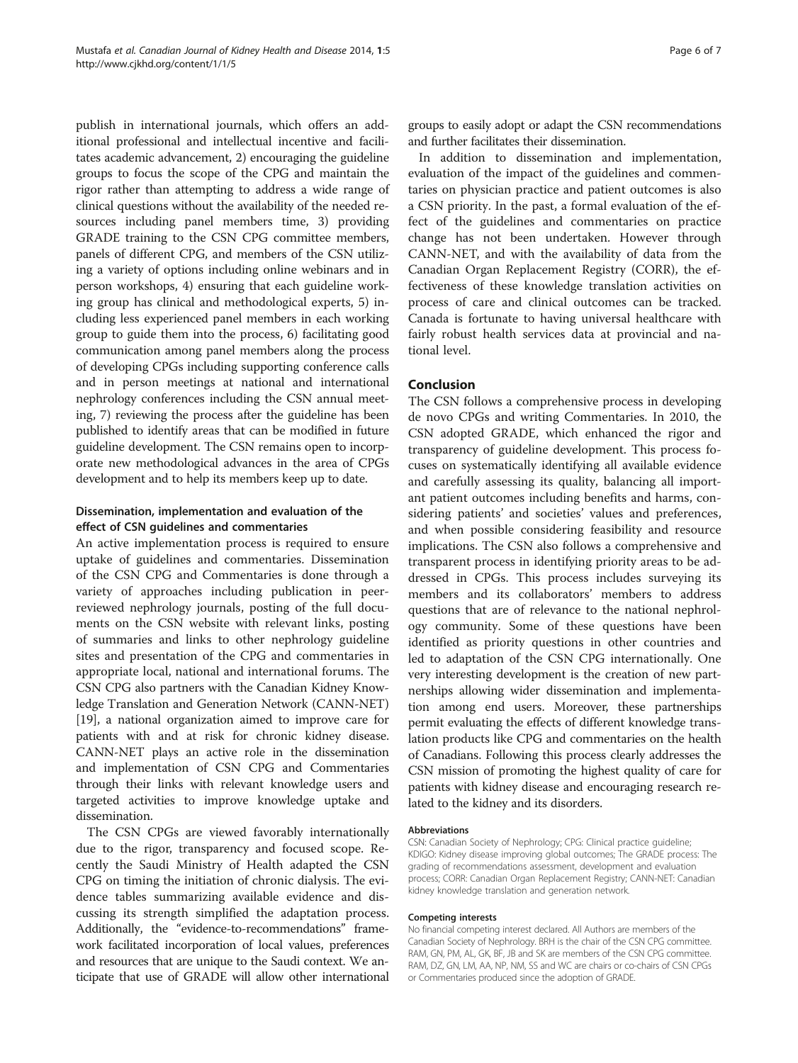publish in international journals, which offers an additional professional and intellectual incentive and facilitates academic advancement, 2) encouraging the guideline groups to focus the scope of the CPG and maintain the rigor rather than attempting to address a wide range of clinical questions without the availability of the needed resources including panel members time, 3) providing GRADE training to the CSN CPG committee members, panels of different CPG, and members of the CSN utilizing a variety of options including online webinars and in person workshops, 4) ensuring that each guideline working group has clinical and methodological experts, 5) including less experienced panel members in each working group to guide them into the process, 6) facilitating good communication among panel members along the process of developing CPGs including supporting conference calls and in person meetings at national and international nephrology conferences including the CSN annual meeting, 7) reviewing the process after the guideline has been published to identify areas that can be modified in future guideline development. The CSN remains open to incorporate new methodological advances in the area of CPGs development and to help its members keep up to date.

## Dissemination, implementation and evaluation of the effect of CSN guidelines and commentaries

An active implementation process is required to ensure uptake of guidelines and commentaries. Dissemination of the CSN CPG and Commentaries is done through a variety of approaches including publication in peerreviewed nephrology journals, posting of the full documents on the CSN website with relevant links, posting of summaries and links to other nephrology guideline sites and presentation of the CPG and commentaries in appropriate local, national and international forums. The CSN CPG also partners with the Canadian Kidney Knowledge Translation and Generation Network (CANN-NET) [[19](#page-6-0)], a national organization aimed to improve care for patients with and at risk for chronic kidney disease. CANN-NET plays an active role in the dissemination and implementation of CSN CPG and Commentaries through their links with relevant knowledge users and targeted activities to improve knowledge uptake and dissemination.

The CSN CPGs are viewed favorably internationally due to the rigor, transparency and focused scope. Recently the Saudi Ministry of Health adapted the CSN CPG on timing the initiation of chronic dialysis. The evidence tables summarizing available evidence and discussing its strength simplified the adaptation process. Additionally, the "evidence-to-recommendations" framework facilitated incorporation of local values, preferences and resources that are unique to the Saudi context. We anticipate that use of GRADE will allow other international

groups to easily adopt or adapt the CSN recommendations and further facilitates their dissemination.

In addition to dissemination and implementation, evaluation of the impact of the guidelines and commentaries on physician practice and patient outcomes is also a CSN priority. In the past, a formal evaluation of the effect of the guidelines and commentaries on practice change has not been undertaken. However through CANN-NET, and with the availability of data from the Canadian Organ Replacement Registry (CORR), the effectiveness of these knowledge translation activities on process of care and clinical outcomes can be tracked. Canada is fortunate to having universal healthcare with fairly robust health services data at provincial and national level.

### Conclusion

The CSN follows a comprehensive process in developing de novo CPGs and writing Commentaries. In 2010, the CSN adopted GRADE, which enhanced the rigor and transparency of guideline development. This process focuses on systematically identifying all available evidence and carefully assessing its quality, balancing all important patient outcomes including benefits and harms, considering patients' and societies' values and preferences, and when possible considering feasibility and resource implications. The CSN also follows a comprehensive and transparent process in identifying priority areas to be addressed in CPGs. This process includes surveying its members and its collaborators' members to address questions that are of relevance to the national nephrology community. Some of these questions have been identified as priority questions in other countries and led to adaptation of the CSN CPG internationally. One very interesting development is the creation of new partnerships allowing wider dissemination and implementation among end users. Moreover, these partnerships permit evaluating the effects of different knowledge translation products like CPG and commentaries on the health of Canadians. Following this process clearly addresses the CSN mission of promoting the highest quality of care for patients with kidney disease and encouraging research related to the kidney and its disorders.

#### Abbreviations

CSN: Canadian Society of Nephrology; CPG: Clinical practice guideline; KDIGO: Kidney disease improving global outcomes; The GRADE process: The grading of recommendations assessment, development and evaluation process; CORR: Canadian Organ Replacement Registry; CANN-NET: Canadian kidney knowledge translation and generation network.

#### Competing interests

No financial competing interest declared. All Authors are members of the Canadian Society of Nephrology. BRH is the chair of the CSN CPG committee. RAM, GN, PM, AL, GK, BF, JB and SK are members of the CSN CPG committee. RAM, DZ, GN, LM, AA, NP, NM, SS and WC are chairs or co-chairs of CSN CPGs or Commentaries produced since the adoption of GRADE.